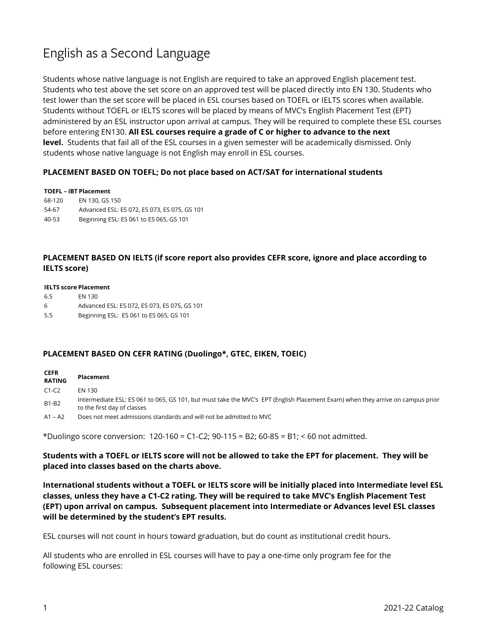# English as a Second Language

Students whose native language is not English are required to take an approved English placement test. Students who test above the set score on an approved test will be placed directly into EN 130. Students who test lower than the set score will be placed in ESL courses based on TOEFL or IELTS scores when available. Students without TOEFL or IELTS scores will be placed by means of MVC's English Placement Test (EPT) administered by an ESL instructor upon arrival at campus. They will be required to complete these ESL courses before entering EN130. **All ESL courses require a grade of C or higher to advance to the next level.** Students that fail all of the ESL courses in a given semester will be academically dismissed. Only students whose native language is not English may enroll in ESL courses.

## **PLACEMENT BASED ON TOEFL; Do not place based on ACT/SAT for international students**

### **TOEFL – iBT Placement**

68-120 EN 130, GS 150 54-67 Advanced ESL: ES 072, ES 073, ES 075, GS 101 40-53 Beginning ESL: ES 061 to ES 065, GS 101

# **PLACEMENT BASED ON IELTS (if score report also provides CEFR score, ignore and place according to IELTS score)**

### **IELTS score Placement**

- 6.5 EN 130
- 6 Advanced ESL: ES 072, ES 073, ES 075, GS 101
- 5.5 Beginning ESL: ES 061 to ES 065, GS 101

## **PLACEMENT BASED ON CEFR RATING (Duolingo\*, GTEC, EIKEN, TOEIC)**

| <b>CEFR</b><br><b>RATING</b> | Placement                                                                                                                                                     |
|------------------------------|---------------------------------------------------------------------------------------------------------------------------------------------------------------|
| $C1-C2$                      | EN 130                                                                                                                                                        |
| <b>B1-B2</b>                 | Intermediate ESL: ES 061 to 065, GS 101, but must take the MVC's EPT (English Placement Exam) when they arrive on campus prior<br>to the first day of classes |
| $A1 - A2$                    | Does not meet admissions standards and will not be admitted to MVC                                                                                            |

\*Duolingo score conversion: 120-160 = C1-C2; 90-115 = B2; 60-85 = B1; < 60 not admitted.

**Students with a TOEFL or IELTS score will not be allowed to take the EPT for placement. They will be placed into classes based on the charts above.**

**International students without a TOEFL or IELTS score will be initially placed into Intermediate level ESL classes, unless they have a C1-C2 rating. They will be required to take MVC's English Placement Test (EPT) upon arrival on campus. Subsequent placement into Intermediate or Advances level ESL classes will be determined by the student's EPT results.** 

ESL courses will not count in hours toward graduation, but do count as institutional credit hours.

All students who are enrolled in ESL courses will have to pay a one-time only program fee for the following ESL courses: